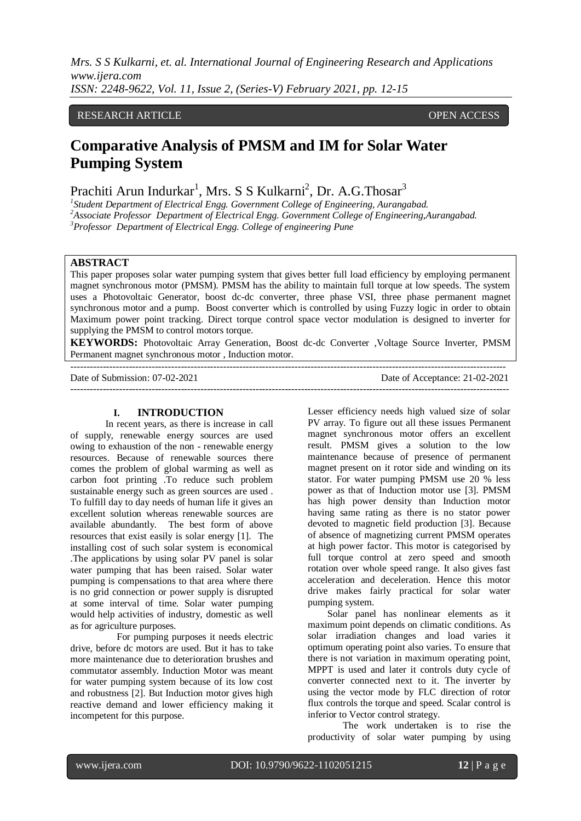*Mrs. S S Kulkarni, et. al. International Journal of Engineering Research and Applications www.ijera.com ISSN: 2248-9622, Vol. 11, Issue 2, (Series-V) February 2021, pp. 12-15*

## RESEARCH ARTICLE **OPEN ACCESS**

# **Comparative Analysis of PMSM and IM for Solar Water Pumping System**

Prachiti Arun Indurkar<sup>1</sup>, Mrs. S S Kulkarni<sup>2</sup>, Dr. A.G.Thosar<sup>3</sup>

*1 Student Department of Electrical Engg. Government College of Engineering, Aurangabad. <sup>2</sup>Associate Professor Department of Electrical Engg. Government College of Engineering,Aurangabad. <sup>3</sup>Professor Department of Electrical Engg. College of engineering Pune*

# **ABSTRACT**

This paper proposes solar water pumping system that gives better full load efficiency by employing permanent magnet synchronous motor (PMSM). PMSM has the ability to maintain full torque at low speeds. The system uses a Photovoltaic Generator, boost dc-dc converter, three phase VSI, three phase permanent magnet synchronous motor and a pump. Boost converter which is controlled by using Fuzzy logic in order to obtain Maximum power point tracking. Direct torque control space vector modulation is designed to inverter for supplying the PMSM to control motors torque.

**KEYWORDS:** Photovoltaic Array Generation, Boost dc-dc Converter ,Voltage Source Inverter, PMSM Permanent magnet synchronous motor , Induction motor.

---------------------------------------------------------------------------------------------------------------------------------------

Date of Submission: 07-02-2021 Date of Acceptance: 21-02-2021

#### **I. INTRODUCTION**

--------------------------------------------------------------------------------------------------------------------------------------

In recent years, as there is increase in call of supply, renewable energy sources are used owing to exhaustion of the non - renewable energy resources. Because of renewable sources there comes the problem of global warming as well as carbon foot printing .To reduce such problem sustainable energy such as green sources are used . To fulfill day to day needs of human life it gives an excellent solution whereas renewable sources are available abundantly. The best form of above resources that exist easily is solar energy [1]. The installing cost of such solar system is economical .The applications by using solar PV panel is solar water pumping that has been raised. Solar water pumping is compensations to that area where there is no grid connection or power supply is disrupted at some interval of time. Solar water pumping would help activities of industry, domestic as well as for agriculture purposes.

 For pumping purposes it needs electric drive, before dc motors are used. But it has to take more maintenance due to deterioration brushes and commutator assembly. Induction Motor was meant for water pumping system because of its low cost and robustness [2]. But Induction motor gives high reactive demand and lower efficiency making it incompetent for this purpose.

Lesser efficiency needs high valued size of solar PV array. To figure out all these issues Permanent magnet synchronous motor offers an excellent result. PMSM gives a solution to the low maintenance because of presence of permanent magnet present on it rotor side and winding on its stator. For water pumping PMSM use 20 % less power as that of Induction motor use [3]. PMSM has high power density than Induction motor having same rating as there is no stator power devoted to magnetic field production [3]. Because of absence of magnetizing current PMSM operates at high power factor. This motor is categorised by full torque control at zero speed and smooth rotation over whole speed range. It also gives fast acceleration and deceleration. Hence this motor drive makes fairly practical for solar water pumping system.

 Solar panel has nonlinear elements as it maximum point depends on climatic conditions. As solar irradiation changes and load varies it optimum operating point also varies. To ensure that there is not variation in maximum operating point, MPPT is used and later it controls duty cycle of converter connected next to it. The inverter by using the vector mode by FLC direction of rotor flux controls the torque and speed. Scalar control is inferior to Vector control strategy.

The work undertaken is to rise the productivity of solar water pumping by using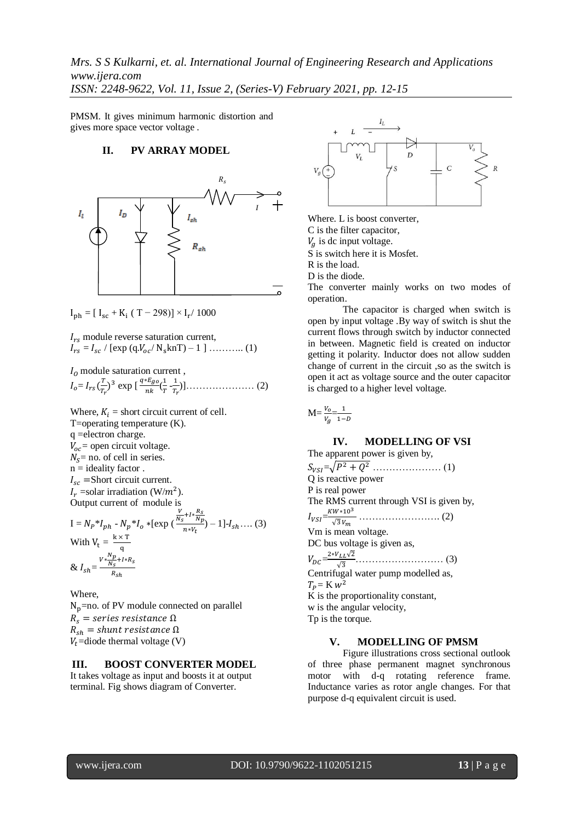*Mrs. S S Kulkarni, et. al. International Journal of Engineering Research and Applications www.ijera.com ISSN: 2248-9622, Vol. 11, Issue 2, (Series-V) February 2021, pp. 12-15*

PMSM. It gives minimum harmonic distortion and gives more space vector voltage .

#### **II. PV ARRAY MODEL**



 $I_{\rm ph} = [I_{\rm sc} + K_{\rm i} (T - 298)] \times I_{\rm r} / 1000$ 

 $I_{rs}$  module reverse saturation current,  $I_{rs} = I_{sc} / [\exp (q.V_{oc} / N_s knT) - 1]$  …………. (1)

 $I_0$  module saturation current,  $I_o = I_{rs}(\frac{T}{T})$  $(\frac{r}{r_r})^3$  exp [ $\frac{q}{r}$ ]  $\frac{*E_{go}}{nk}(\frac{1}{T}% )^{k}=\frac{1}{\left\vert k_{\alpha }-1\right\vert }+\frac{1}{\left\vert k_{\alpha }-1\right\vert }$  $\frac{1}{T}$  $\frac{1}{T_1}$ )]………………… (2)

Where,  $K_i$  = short circuit current of cell. T=operating temperature (K). q =electron charge.  $V_{oc}$  = open circuit voltage.  $N_s$  = no. of cell in series.  $n =$  ideality factor.  $I_{sc}$  =Short circuit current.  $I_r$  =solar irradiation (W/m<sup>2</sup>). Output current of module is  $I = N_P * I_{ph} - N_p * I_o * [\exp($  $\frac{V}{N_S}$ +  $\frac{R_S}{N_p}$ ) – 1]- $I_{sh}$ .... (3)  $\boldsymbol{n}$ With  $V_t = \frac{k}{t}$ q

&  $I_{sh} = \frac{V * \frac{N}{N}}{N}$  $\frac{p}{N_S}$ +  $\boldsymbol{R}$ 

Where,  $N_p$ =no. of PV module connected on parallel  $R_s$  = series resistance  $\Omega$  $R_{sh}$  = shunt resistance  $\Omega$  $V_t$ =diode thermal voltage (V)

#### **III. BOOST CONVERTER MODEL**

It takes voltage as input and boosts it at output terminal. Fig shows diagram of Converter.



Where. L is boost converter, C is the filter capacitor,  $V_a$  is dc input voltage. S is switch here it is Mosfet. R is the load. D is the diode. The converter mainly works on two modes of

operation. The capacitor is charged when switch is open by input voltage .By way of switch is shut the

current flows through switch by inductor connected in between. Magnetic field is created on inductor getting it polarity. Inductor does not allow sudden change of current in the circuit ,so as the switch is open it act as voltage source and the outer capacitor is charged to a higher level voltage.

$$
M = \frac{V_o}{V_g} = \frac{1}{1 - D}
$$

# **IV. MODELLING OF VSI**

The apparent power is given by, = ………………… (1) Q is reactive power P is real power The RMS current through VSI is given by,  $I_{VSI} = \frac{K}{2}$  ……………………. (2) Vm is mean voltage. DC bus voltage is given as,  $V_{DC}=\frac{2}{5}$  ……………………… (3) Centrifugal water pump modelled as,  $T_P = K w^2$ K is the proportionality constant, w is the angular velocity,

Tp is the torque.

#### **V. MODELLING OF PMSM**

Figure illustrations cross sectional outlook of three phase permanent magnet synchronous motor with d-q rotating reference frame. Inductance varies as rotor angle changes. For that purpose d-q equivalent circuit is used.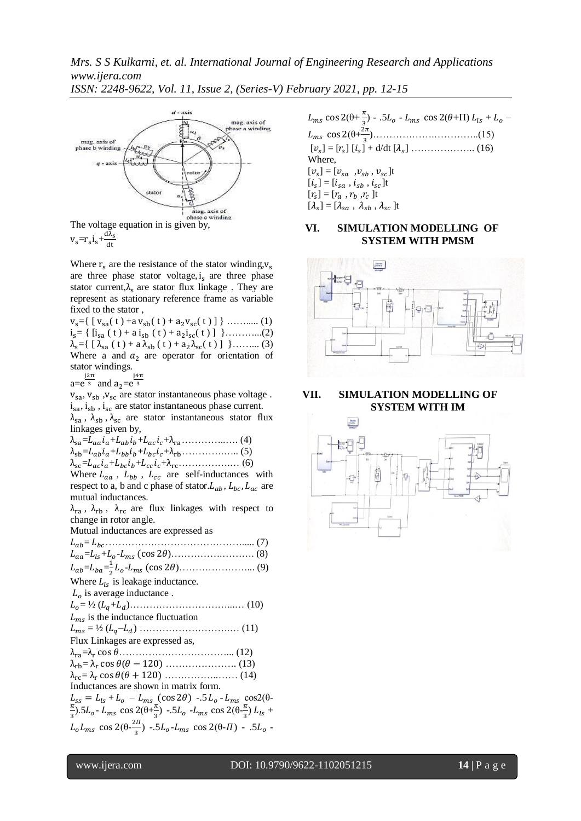*Mrs. S S Kulkarni, et. al. International Journal of Engineering Research and Applications www.ijera.com*







Where  $r_s$  are the resistance of the stator winding,  $v_s$ are three phase stator voltage,  $i<sub>s</sub>$  are three phase stator current, $\lambda_c$  are stator flux linkage. They are represent as stationary reference frame as variable fixed to the stator ,

 $v_s = \{ [v_{sa}(t) + a v_{sb}(t) + a_2 v_{sc}(t)] \}$  ……….. (1)  $i_s$  = {  $[i_{sa} (t) + a i_{sb} (t) + a_2 i_{sc} (t)]$  }............(2)  $\lambda_{s} = \{ [\lambda_{sa}(t) + a \lambda_{sb}(t) + a_{2} \lambda_{sc}(t)] \}$ ……… (3) Where a and  $a_2$  are operator for orientation of stator windings.

 $a=e^{\frac{j2\pi}{3}}$  and  $a_2=e^{\frac{j4\pi}{3}}$ 

 $V_{sa}$ ,  $V_{sb}$ ,  $V_{sc}$  are stator instantaneous phase voltage.  $i_{sa}$ ,  $i_{sb}$ ,  $i_{sc}$  are stator instantaneous phase current.  $\lambda_{sa}$ ,  $\lambda_{sb}$ ,  $\lambda_{sc}$  are stator instantaneous stator flux linkages given by,

 $\lambda_{sa} = L_{aa} i_a + L_{ab} i_b + L_{ac} i_c + \lambda_{ra} \dots \dots \dots \dots \dots \dots \tag{4}$  $\lambda_{sb} = L_{ab} i_a + L_{bb} i_b + L_{bc} i_c + \lambda_{rb} \dots \dots \dots \dots \dots \dots \tag{5}$  = + + + …………….… (6) Where  $L_{aa}$ ,  $L_{bb}$ ,  $L_{cc}$  are self-inductances with

respect to a, b and c phase of stator.  $L_{ab}$ ,  $L_{bc}$ ,  $L_{ac}$  are mutual inductances.

 $\lambda_{\text{ra}}$ ,  $\lambda_{\text{rb}}$ ,  $\lambda_{\text{rc}}$  are flux linkages with respect to change in rotor angle.

Mutual inductances are expressed as

 = ……………………………………..... (7) = + - )…………….………. (8)  $L_{ab} = L_{ba} = \frac{1}{2}$  - )…………………... (9) Where  $L_{ls}$  is leakage inductance.  $L<sub>o</sub>$  is average inductance. = ½ ( + )…………………………...… (10)  $L_{ms}$  is the inductance fluctuation  $L_{ms} = \frac{1}{2} (L_a - L_d) \dots (11)$ Flux Linkages are expressed as, = ……………………………... (12)  $\lambda_{\rm rb} = \lambda_{\rm r} \cos \theta (\theta - 120) \dots$  (13)  $\lambda_{\text{rc}} = \lambda_{\text{r}} \cos \theta (\theta + 120) \dots$  (14) Inductances are shown in matrix form.  $L_{ss} = L_{ls} + L_o - L_{ms} (\cos 2\theta) - 5L_o - L_{ms} \cos 2(\theta - \pi h)$  $\frac{\pi}{3}$ ).5L<sub>o</sub> - L<sub>ms</sub> cos 2( $\theta + \frac{\pi}{3}$  $\frac{\pi}{3}$ ) -.5L<sub>o</sub> -L<sub>ms</sub> cos 2(θ- $\frac{\pi}{3}$  $\frac{\pi}{3}$ )  $L_{ls}$  +  $L_o L_{ms}$  cos 2( $\theta$ - $\frac{2}{3}$  $\frac{3}{3}$ ) -.5L<sub>o</sub>-L<sub>ms</sub> cos 2( $\theta$ -*I*I) - .5L<sub>o</sub>-

 $L_{ms} \cos 2(\theta + \frac{\pi}{3}) - .5L_o - L_{ms} \cos 2(\theta + \pi) L_{ls} + L_o$  (θ+ )……………….…………..(15) [ ] = [ ] [ ] + d/dt [ ] ……………….. (16) Where,  $[v_s] = [v_{sa}, v_{sb}, v_{sc}]$ t  $[i_s] = [i_{sa} , i_{sb} , i_{sc}]$ t  $[r_s] = [r_a, r_b, r_c]$ t  $[\lambda_s] = [\lambda_{sa} , \lambda_{sb} , \lambda_{sc}]$ t

## **VI. SIMULATION MODELLING OF SYSTEM WITH PMSM**



## **VII. SIMULATION MODELLING OF SYSTEM WITH IM**